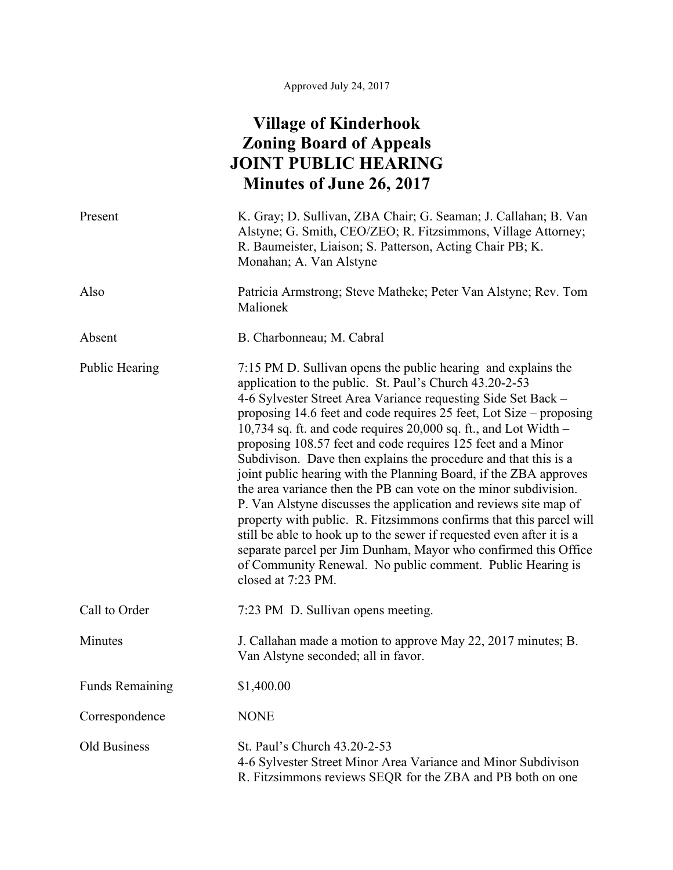## **Village of Kinderhook Zoning Board of Appeals JOINT PUBLIC HEARING Minutes of June 26, 2017**

| Present                | K. Gray; D. Sullivan, ZBA Chair; G. Seaman; J. Callahan; B. Van<br>Alstyne; G. Smith, CEO/ZEO; R. Fitzsimmons, Village Attorney;<br>R. Baumeister, Liaison; S. Patterson, Acting Chair PB; K.<br>Monahan; A. Van Alstyne                                                                                                                                                                                                                                                                                                                                                                                                                                                                                                                                                                                                                                                                                                                                                                      |
|------------------------|-----------------------------------------------------------------------------------------------------------------------------------------------------------------------------------------------------------------------------------------------------------------------------------------------------------------------------------------------------------------------------------------------------------------------------------------------------------------------------------------------------------------------------------------------------------------------------------------------------------------------------------------------------------------------------------------------------------------------------------------------------------------------------------------------------------------------------------------------------------------------------------------------------------------------------------------------------------------------------------------------|
| Also                   | Patricia Armstrong; Steve Matheke; Peter Van Alstyne; Rev. Tom<br>Malionek                                                                                                                                                                                                                                                                                                                                                                                                                                                                                                                                                                                                                                                                                                                                                                                                                                                                                                                    |
| Absent                 | B. Charbonneau; M. Cabral                                                                                                                                                                                                                                                                                                                                                                                                                                                                                                                                                                                                                                                                                                                                                                                                                                                                                                                                                                     |
| <b>Public Hearing</b>  | 7:15 PM D. Sullivan opens the public hearing and explains the<br>application to the public. St. Paul's Church 43.20-2-53<br>4-6 Sylvester Street Area Variance requesting Side Set Back –<br>proposing 14.6 feet and code requires 25 feet, Lot Size – proposing<br>10,734 sq. ft. and code requires $20,000$ sq. ft., and Lot Width –<br>proposing 108.57 feet and code requires 125 feet and a Minor<br>Subdivison. Dave then explains the procedure and that this is a<br>joint public hearing with the Planning Board, if the ZBA approves<br>the area variance then the PB can vote on the minor subdivision.<br>P. Van Alstyne discusses the application and reviews site map of<br>property with public. R. Fitzsimmons confirms that this parcel will<br>still be able to hook up to the sewer if requested even after it is a<br>separate parcel per Jim Dunham, Mayor who confirmed this Office<br>of Community Renewal. No public comment. Public Hearing is<br>closed at 7:23 PM. |
| Call to Order          | 7:23 PM D. Sullivan opens meeting.                                                                                                                                                                                                                                                                                                                                                                                                                                                                                                                                                                                                                                                                                                                                                                                                                                                                                                                                                            |
| Minutes                | J. Callahan made a motion to approve May 22, 2017 minutes; B.<br>Van Alstyne seconded; all in favor.                                                                                                                                                                                                                                                                                                                                                                                                                                                                                                                                                                                                                                                                                                                                                                                                                                                                                          |
| <b>Funds Remaining</b> | \$1,400.00                                                                                                                                                                                                                                                                                                                                                                                                                                                                                                                                                                                                                                                                                                                                                                                                                                                                                                                                                                                    |
| Correspondence         | <b>NONE</b>                                                                                                                                                                                                                                                                                                                                                                                                                                                                                                                                                                                                                                                                                                                                                                                                                                                                                                                                                                                   |
| Old Business           | St. Paul's Church 43.20-2-53<br>4-6 Sylvester Street Minor Area Variance and Minor Subdivison<br>R. Fitzsimmons reviews SEQR for the ZBA and PB both on one                                                                                                                                                                                                                                                                                                                                                                                                                                                                                                                                                                                                                                                                                                                                                                                                                                   |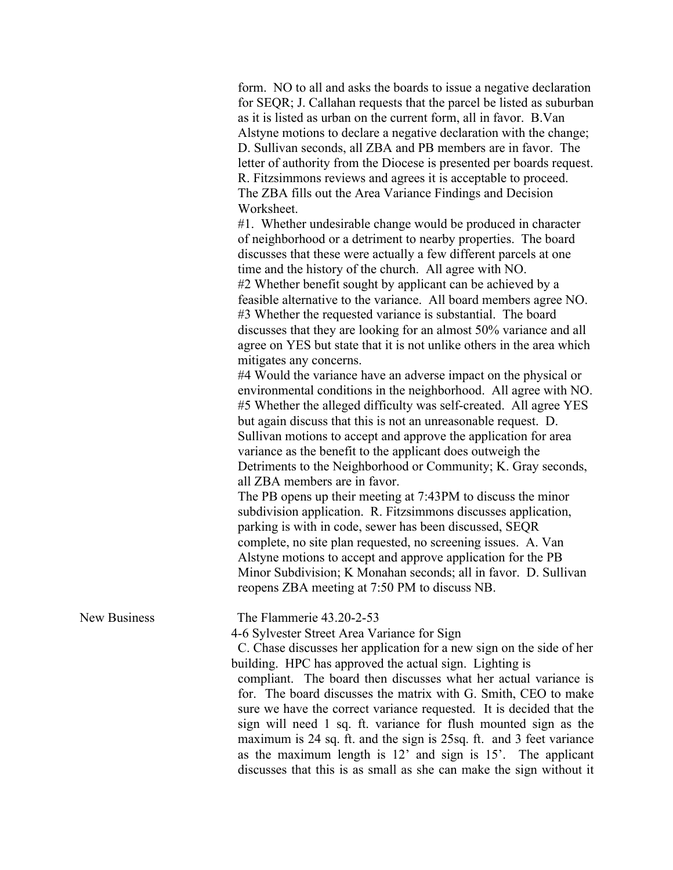form. NO to all and asks the boards to issue a negative declaration for SEQR; J. Callahan requests that the parcel be listed as suburban as it is listed as urban on the current form, all in favor. B.Van Alstyne motions to declare a negative declaration with the change; D. Sullivan seconds, all ZBA and PB members are in favor. The letter of authority from the Diocese is presented per boards request. R. Fitzsimmons reviews and agrees it is acceptable to proceed. The ZBA fills out the Area Variance Findings and Decision Worksheet.

#1. Whether undesirable change would be produced in character of neighborhood or a detriment to nearby properties. The board discusses that these were actually a few different parcels at one time and the history of the church. All agree with NO. #2 Whether benefit sought by applicant can be achieved by a feasible alternative to the variance. All board members agree NO. #3 Whether the requested variance is substantial. The board discusses that they are looking for an almost 50% variance and all agree on YES but state that it is not unlike others in the area which mitigates any concerns.

#4 Would the variance have an adverse impact on the physical or environmental conditions in the neighborhood. All agree with NO. #5 Whether the alleged difficulty was self-created. All agree YES but again discuss that this is not an unreasonable request. D. Sullivan motions to accept and approve the application for area variance as the benefit to the applicant does outweigh the Detriments to the Neighborhood or Community; K. Gray seconds, all ZBA members are in favor.

The PB opens up their meeting at 7:43PM to discuss the minor subdivision application. R. Fitzsimmons discusses application, parking is with in code, sewer has been discussed, SEQR complete, no site plan requested, no screening issues. A. Van Alstyne motions to accept and approve application for the PB Minor Subdivision; K Monahan seconds; all in favor. D. Sullivan reopens ZBA meeting at 7:50 PM to discuss NB.

New Business The Flammerie 43.20-2-53

4-6 Sylvester Street Area Variance for Sign

 C. Chase discusses her application for a new sign on the side of her building. HPC has approved the actual sign. Lighting is

compliant. The board then discusses what her actual variance is for. The board discusses the matrix with G. Smith, CEO to make sure we have the correct variance requested. It is decided that the sign will need 1 sq. ft. variance for flush mounted sign as the maximum is 24 sq. ft. and the sign is 25sq. ft. and 3 feet variance as the maximum length is 12' and sign is 15'. The applicant discusses that this is as small as she can make the sign without it